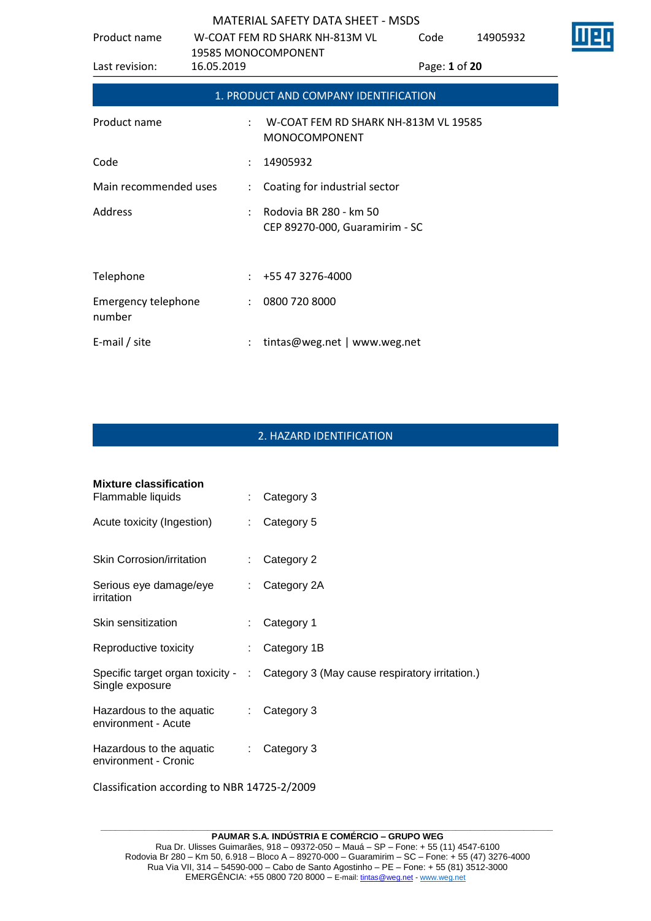| Product name                         |                      | W-COAT FEM RD SHARK NH-813M VL<br>19585 MONOCOMPONENT      | Code          | 14905932 |  |
|--------------------------------------|----------------------|------------------------------------------------------------|---------------|----------|--|
| Last revision:                       | 16.05.2019           |                                                            | Page: 1 of 20 |          |  |
|                                      |                      | 1. PRODUCT AND COMPANY IDENTIFICATION                      |               |          |  |
| Product name                         |                      | W-COAT FEM RD SHARK NH-813M VL 19585<br>MONOCOMPONENT      |               |          |  |
| Code                                 |                      | 14905932                                                   |               |          |  |
| Main recommended uses                | $\ddot{\phantom{a}}$ | Coating for industrial sector                              |               |          |  |
| Address                              |                      | : Rodovia BR 280 - km 50<br>CEP 89270-000, Guaramirim - SC |               |          |  |
| Telephone                            |                      | $: +55473276-4000$                                         |               |          |  |
| <b>Emergency telephone</b><br>number |                      | : 08007208000                                              |               |          |  |
| E-mail / site                        |                      | tintas@weg.net   www.weg.net                               |               |          |  |

## 2. HAZARD IDENTIFICATION

| <b>Mixture classification</b><br>Flammable liquids | ÷.                          | Category 3                                                                        |
|----------------------------------------------------|-----------------------------|-----------------------------------------------------------------------------------|
| Acute toxicity (Ingestion)                         | $\mathcal{L}^{\mathcal{L}}$ | Category 5                                                                        |
| Skin Corrosion/irritation                          | ÷                           | Category 2                                                                        |
| Serious eye damage/eye<br>irritation               | $\mathcal{L}^{\mathcal{L}}$ | Category 2A                                                                       |
| Skin sensitization                                 | ÷                           | Category 1                                                                        |
| Reproductive toxicity                              | ÷.                          | Category 1B                                                                       |
| Single exposure                                    |                             | Specific target organ toxicity - : Category 3 (May cause respiratory irritation.) |
| Hazardous to the aquatic<br>environment - Acute    | t.                          | Category 3                                                                        |
| Hazardous to the aquatic<br>environment - Cronic   | ÷                           | Category 3                                                                        |

Classification according to NBR 14725-2/2009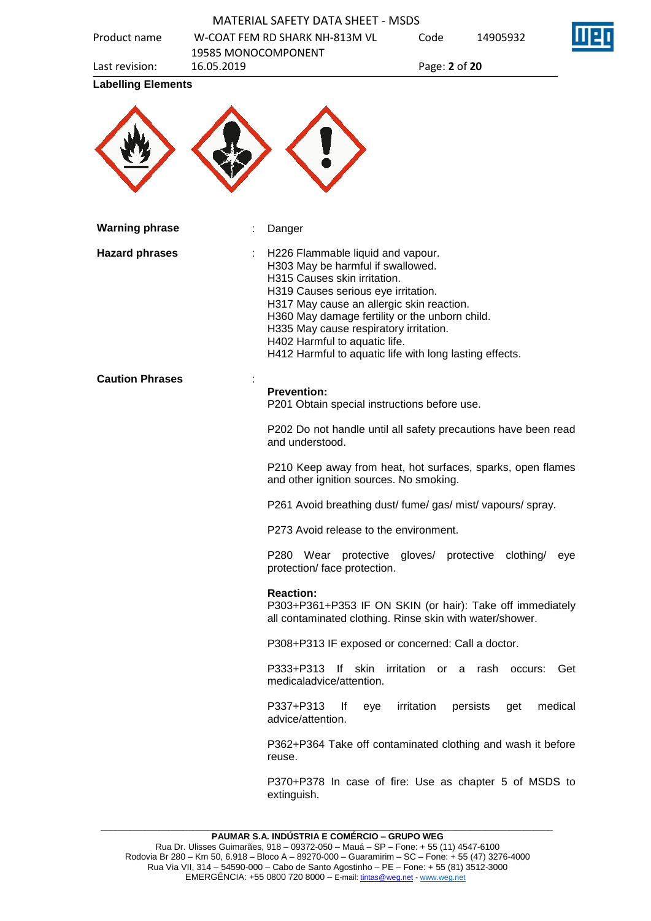| Product name              | 19585 MONOCOMPONENT | W-COAT FEM RD SHARK NH-813M VL                                                                                                                                                                                                                                                                                                                                                     | Code             | 14905932                   |
|---------------------------|---------------------|------------------------------------------------------------------------------------------------------------------------------------------------------------------------------------------------------------------------------------------------------------------------------------------------------------------------------------------------------------------------------------|------------------|----------------------------|
| Last revision:            | 16.05.2019          |                                                                                                                                                                                                                                                                                                                                                                                    | Page: 2 of 20    |                            |
| <b>Labelling Elements</b> |                     |                                                                                                                                                                                                                                                                                                                                                                                    |                  |                            |
| <b>Warning phrase</b>     |                     | Danger                                                                                                                                                                                                                                                                                                                                                                             |                  |                            |
| <b>Hazard phrases</b>     |                     | H226 Flammable liquid and vapour.<br>H303 May be harmful if swallowed.<br>H315 Causes skin irritation.<br>H319 Causes serious eye irritation.<br>H317 May cause an allergic skin reaction.<br>H360 May damage fertility or the unborn child.<br>H335 May cause respiratory irritation.<br>H402 Harmful to aquatic life.<br>H412 Harmful to aquatic life with long lasting effects. |                  |                            |
| <b>Caution Phrases</b>    |                     | <b>Prevention:</b><br>P201 Obtain special instructions before use.                                                                                                                                                                                                                                                                                                                 |                  |                            |
|                           |                     | P202 Do not handle until all safety precautions have been read<br>and understood.                                                                                                                                                                                                                                                                                                  |                  |                            |
|                           |                     | P210 Keep away from heat, hot surfaces, sparks, open flames<br>and other ignition sources. No smoking.                                                                                                                                                                                                                                                                             |                  |                            |
|                           |                     | P261 Avoid breathing dust/ fume/ gas/ mist/ vapours/ spray.                                                                                                                                                                                                                                                                                                                        |                  |                            |
|                           |                     | P273 Avoid release to the environment.                                                                                                                                                                                                                                                                                                                                             |                  |                            |
|                           |                     | P280 Wear protective gloves/ protective clothing/<br>protection/ face protection.                                                                                                                                                                                                                                                                                                  |                  | eye                        |
|                           |                     | <b>Reaction:</b><br>P303+P361+P353 IF ON SKIN (or hair): Take off immediately<br>all contaminated clothing. Rinse skin with water/shower.                                                                                                                                                                                                                                          |                  |                            |
|                           |                     | P308+P313 IF exposed or concerned: Call a doctor.                                                                                                                                                                                                                                                                                                                                  |                  |                            |
|                           |                     | lf skin<br>P333+P313<br>medicaladvice/attention.                                                                                                                                                                                                                                                                                                                                   | irritation<br>or | a rash occurs:<br>Get      |
|                           |                     | P337+P313<br><u>lf</u><br>eye<br>advice/attention.                                                                                                                                                                                                                                                                                                                                 | irritation       | medical<br>persists<br>get |
|                           |                     | P362+P364 Take off contaminated clothing and wash it before<br>reuse.                                                                                                                                                                                                                                                                                                              |                  |                            |
|                           |                     | P370+P378 In case of fire: Use as chapter 5 of MSDS to<br>extinguish.                                                                                                                                                                                                                                                                                                              |                  |                            |

EQ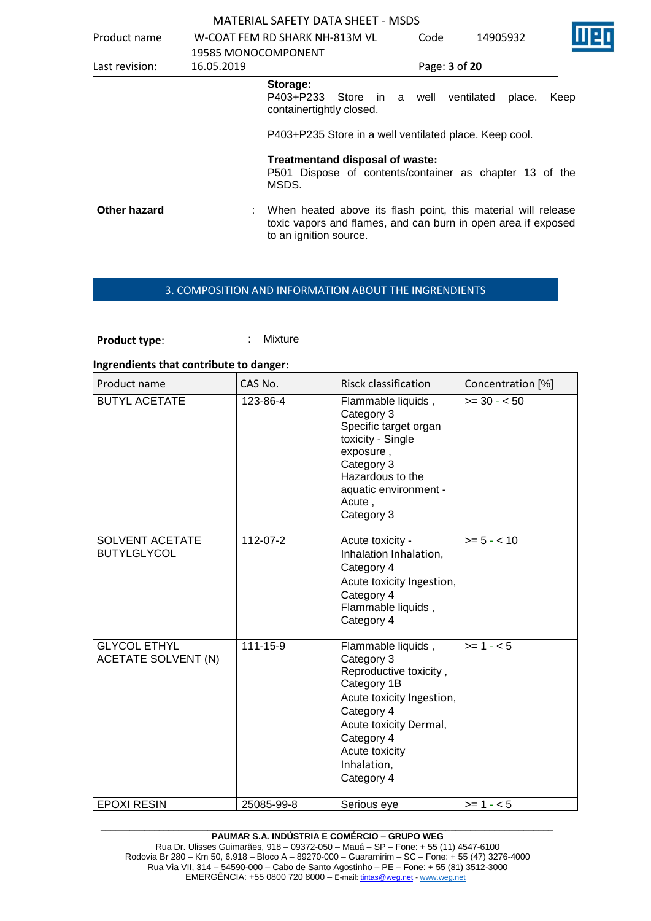| Product name   |            | W-COAT FEM RD SHARK NH-813M VL                                                                                                                           | Code | 14905932             |      |
|----------------|------------|----------------------------------------------------------------------------------------------------------------------------------------------------------|------|----------------------|------|
| Last revision: | 16.05.2019 | 19585 MONOCOMPONENT                                                                                                                                      |      | Page: 3 of 20        |      |
|                |            | Storage:<br>P403+P233 Store in a well<br>containertightly closed.                                                                                        |      | ventilated<br>place. | Keep |
|                |            | P403+P235 Store in a well ventilated place. Keep cool.                                                                                                   |      |                      |      |
|                |            | Treatmentand disposal of waste:<br>P501 Dispose of contents/container as chapter 13 of the<br>MSDS.                                                      |      |                      |      |
| Other hazard   |            | When heated above its flash point, this material will release<br>toxic vapors and flames, and can burn in open area if exposed<br>to an ignition source. |      |                      |      |

## 3. COMPOSITION AND INFORMATION ABOUT THE INGRENDIENTS

**Product type:** : : : : : Mixture

#### **Ingrendients that contribute to danger:**

| Product name                                      | CAS No.    | <b>Risck classification</b>                                                                                                                                                                                 | Concentration [%] |
|---------------------------------------------------|------------|-------------------------------------------------------------------------------------------------------------------------------------------------------------------------------------------------------------|-------------------|
| <b>BUTYL ACETATE</b>                              | 123-86-4   | Flammable liquids,<br>Category 3<br>Specific target organ<br>toxicity - Single<br>exposure,<br>Category 3<br>Hazardous to the<br>aquatic environment -<br>Acute,<br>Category 3                              | $>= 30 - 50$      |
| SOLVENT ACETATE<br><b>BUTYLGLYCOL</b>             | 112-07-2   | Acute toxicity -<br>Inhalation Inhalation,<br>Category 4<br>Acute toxicity Ingestion,<br>Category 4<br>Flammable liquids,<br>Category 4                                                                     | $>= 5 - < 10$     |
| <b>GLYCOL ETHYL</b><br><b>ACETATE SOLVENT (N)</b> | 111-15-9   | Flammable liquids,<br>Category 3<br>Reproductive toxicity,<br>Category 1B<br>Acute toxicity Ingestion,<br>Category 4<br>Acute toxicity Dermal,<br>Category 4<br>Acute toxicity<br>Inhalation,<br>Category 4 | $>= 1 - 5$        |
| <b>EPOXI RESIN</b>                                | 25085-99-8 | Serious eye                                                                                                                                                                                                 | $>= 1 - 5$        |

#### **\_\_\_\_\_\_\_\_\_\_\_\_\_\_\_\_\_\_\_\_\_\_\_\_\_\_\_\_\_\_\_\_\_\_\_\_\_\_\_\_\_\_\_\_\_\_\_\_\_\_\_\_\_\_\_\_\_\_\_\_\_\_\_\_\_\_\_\_\_\_\_\_\_\_\_\_\_\_\_\_\_\_\_\_\_\_\_\_\_\_\_\_\_ PAUMAR S.A. INDÚSTRIA E COMÉRCIO – GRUPO WEG**

Rua Dr. Ulisses Guimarães, 918 – 09372-050 – Mauá – SP – Fone: + 55 (11) 4547-6100 Rodovia Br 280 – Km 50, 6.918 – Bloco A – 89270-000 – Guaramirim – SC – Fone: + 55 (47) 3276-4000 Rua Via VII, 314 – 54590-000 – Cabo de Santo Agostinho – PE – Fone: + 55 (81) 3512-3000 EMERGËNCIA: +55 0800 720 8000 – E-mail[: tintas@weg.net](mailto:tintas@weg.net) - [www.weg.net](http://www.weg.net/)

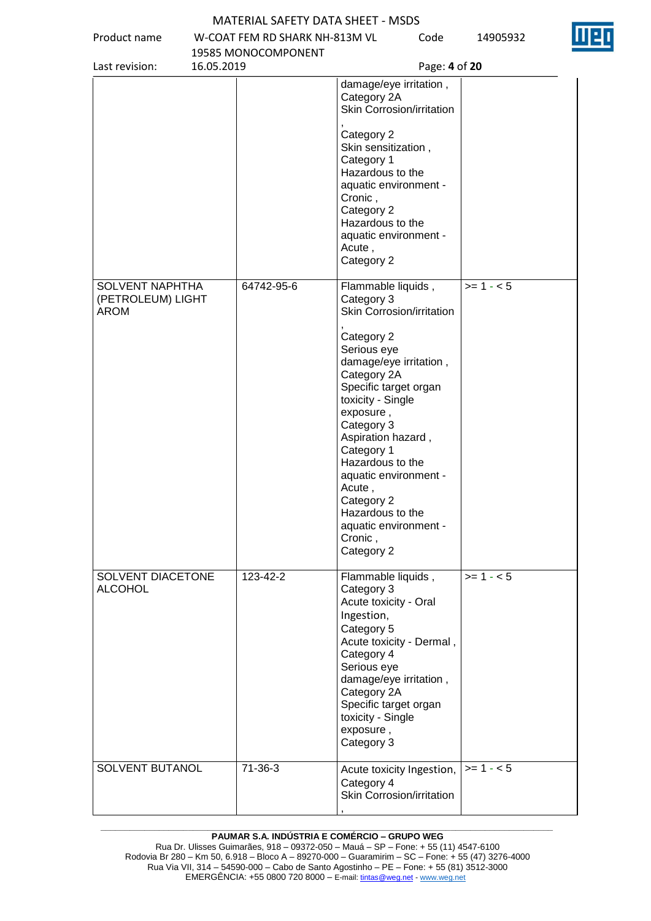Product name W-COAT FEM RD SHARK NH-813M VL



Code 14905932

|                                                            | 19585 MONOCOMPONENT |                                                                                                                                                                                                                                                                                                                            |            |
|------------------------------------------------------------|---------------------|----------------------------------------------------------------------------------------------------------------------------------------------------------------------------------------------------------------------------------------------------------------------------------------------------------------------------|------------|
| Last revision:<br>16.05.2019                               |                     | Page: 4 of 20                                                                                                                                                                                                                                                                                                              |            |
|                                                            |                     | damage/eye irritation,<br>Category 2A<br>Skin Corrosion/irritation                                                                                                                                                                                                                                                         |            |
|                                                            |                     | Category 2<br>Skin sensitization,<br>Category 1<br>Hazardous to the<br>aquatic environment -<br>Cronic,<br>Category 2<br>Hazardous to the<br>aquatic environment -<br>Acute,<br>Category 2                                                                                                                                 |            |
| <b>SOLVENT NAPHTHA</b><br>(PETROLEUM) LIGHT<br><b>AROM</b> | 64742-95-6          | Flammable liquids,<br>Category 3<br>Skin Corrosion/irritation                                                                                                                                                                                                                                                              | $>= 1 - 5$ |
|                                                            |                     | Category 2<br>Serious eye<br>damage/eye irritation,<br>Category 2A<br>Specific target organ<br>toxicity - Single<br>exposure,<br>Category 3<br>Aspiration hazard,<br>Category 1<br>Hazardous to the<br>aquatic environment -<br>Acute,<br>Category 2<br>Hazardous to the<br>aquatic environment -<br>Cronic,<br>Category 2 |            |
| SOLVENT DIACETONE<br><b>ALCOHOL</b>                        | 123-42-2            | Flammable liquids,<br>Category 3<br>Acute toxicity - Oral<br>Ingestion,<br>Category 5<br>Acute toxicity - Dermal,<br>Category 4<br>Serious eye<br>damage/eye irritation,<br>Category 2A<br>Specific target organ<br>toxicity - Single<br>exposure,<br>Category 3                                                           | $>= 1 - 5$ |
| SOLVENT BUTANOL                                            | 71-36-3             | Acute toxicity Ingestion,<br>Category 4<br>Skin Corrosion/irritation                                                                                                                                                                                                                                                       | $>= 1 - 5$ |

#### **\_\_\_\_\_\_\_\_\_\_\_\_\_\_\_\_\_\_\_\_\_\_\_\_\_\_\_\_\_\_\_\_\_\_\_\_\_\_\_\_\_\_\_\_\_\_\_\_\_\_\_\_\_\_\_\_\_\_\_\_\_\_\_\_\_\_\_\_\_\_\_\_\_\_\_\_\_\_\_\_\_\_\_\_\_\_\_\_\_\_\_\_\_ PAUMAR S.A. INDÚSTRIA E COMÉRCIO – GRUPO WEG**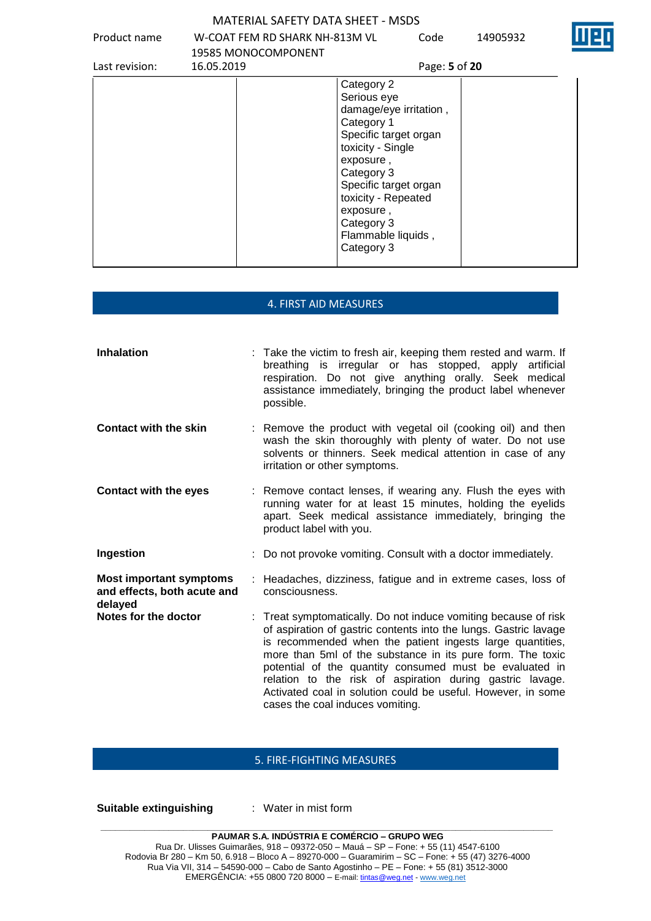Product name W-COAT FEM RD SHARK NH-813M VL

Code 14905932

| Last revision: | 19585 MONOCOMPONENT<br>16.05.2019 | Page: 5 of 20                                                                                                                                                                                                                                             |  |
|----------------|-----------------------------------|-----------------------------------------------------------------------------------------------------------------------------------------------------------------------------------------------------------------------------------------------------------|--|
|                |                                   | Category 2<br>Serious eye<br>damage/eye irritation,<br>Category 1<br>Specific target organ<br>toxicity - Single<br>exposure,<br>Category 3<br>Specific target organ<br>toxicity - Repeated<br>exposure,<br>Category 3<br>Flammable liquids,<br>Category 3 |  |

## 4. FIRST AID MEASURES

| <b>Inhalation</b>                                                        | : Take the victim to fresh air, keeping them rested and warm. If<br>breathing is irregular or has stopped, apply<br>artificial<br>respiration. Do not give anything orally. Seek medical<br>assistance immediately, bringing the product label whenever<br>possible.                                                                                                                                                                                                                       |
|--------------------------------------------------------------------------|--------------------------------------------------------------------------------------------------------------------------------------------------------------------------------------------------------------------------------------------------------------------------------------------------------------------------------------------------------------------------------------------------------------------------------------------------------------------------------------------|
| <b>Contact with the skin</b>                                             | : Remove the product with vegetal oil (cooking oil) and then<br>wash the skin thoroughly with plenty of water. Do not use<br>solvents or thinners. Seek medical attention in case of any<br>irritation or other symptoms.                                                                                                                                                                                                                                                                  |
| <b>Contact with the eyes</b>                                             | : Remove contact lenses, if wearing any. Flush the eyes with<br>running water for at least 15 minutes, holding the eyelids<br>apart. Seek medical assistance immediately, bringing the<br>product label with you.                                                                                                                                                                                                                                                                          |
| Ingestion                                                                | : Do not provoke vomiting. Consult with a doctor immediately.                                                                                                                                                                                                                                                                                                                                                                                                                              |
| <b>Most important symptoms</b><br>and effects, both acute and<br>delayed | : Headaches, dizziness, fatigue and in extreme cases, loss of<br>consciousness.                                                                                                                                                                                                                                                                                                                                                                                                            |
| Notes for the doctor                                                     | : Treat symptomatically. Do not induce vomiting because of risk<br>of aspiration of gastric contents into the lungs. Gastric lavage<br>is recommended when the patient ingests large quantities,<br>more than 5ml of the substance in its pure form. The toxic<br>potential of the quantity consumed must be evaluated in<br>relation to the risk of aspiration during gastric lavage.<br>Activated coal in solution could be useful. However, in some<br>cases the coal induces vomiting. |

## 5. FIRE-FIGHTING MEASURES

**Suitable extinguishing** : Water in mist form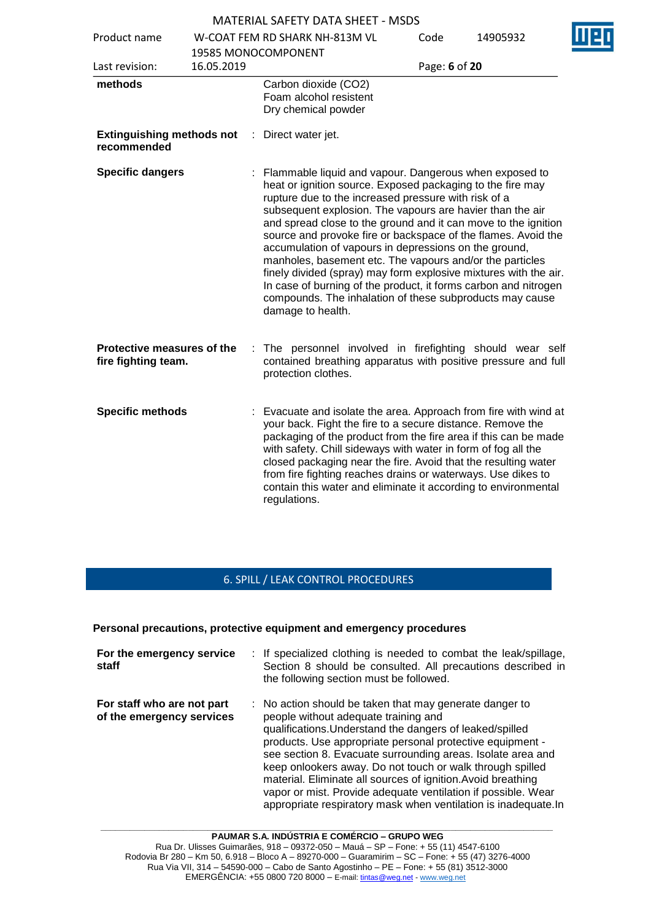|                                                   |            |    | <u>IVIA LEINAE JALEIT DATA JITEET</u>                                                                                                                                                                                                                                                                                                                                                                                                                                                                                                                                                                                                                                                                                     |               |          |  |
|---------------------------------------------------|------------|----|---------------------------------------------------------------------------------------------------------------------------------------------------------------------------------------------------------------------------------------------------------------------------------------------------------------------------------------------------------------------------------------------------------------------------------------------------------------------------------------------------------------------------------------------------------------------------------------------------------------------------------------------------------------------------------------------------------------------------|---------------|----------|--|
| Product name                                      |            |    | W-COAT FEM RD SHARK NH-813M VL                                                                                                                                                                                                                                                                                                                                                                                                                                                                                                                                                                                                                                                                                            | Code          | 14905932 |  |
|                                                   |            |    | 19585 MONOCOMPONENT                                                                                                                                                                                                                                                                                                                                                                                                                                                                                                                                                                                                                                                                                                       |               |          |  |
| Last revision:                                    | 16.05.2019 |    |                                                                                                                                                                                                                                                                                                                                                                                                                                                                                                                                                                                                                                                                                                                           | Page: 6 of 20 |          |  |
| methods                                           |            |    | Carbon dioxide (CO2)<br>Foam alcohol resistent<br>Dry chemical powder                                                                                                                                                                                                                                                                                                                                                                                                                                                                                                                                                                                                                                                     |               |          |  |
| <b>Extinguishing methods not</b><br>recommended   |            | ÷. | Direct water jet.                                                                                                                                                                                                                                                                                                                                                                                                                                                                                                                                                                                                                                                                                                         |               |          |  |
| <b>Specific dangers</b>                           |            |    | Flammable liquid and vapour. Dangerous when exposed to<br>heat or ignition source. Exposed packaging to the fire may<br>rupture due to the increased pressure with risk of a<br>subsequent explosion. The vapours are havier than the air<br>and spread close to the ground and it can move to the ignition<br>source and provoke fire or backspace of the flames. Avoid the<br>accumulation of vapours in depressions on the ground,<br>manholes, basement etc. The vapours and/or the particles<br>finely divided (spray) may form explosive mixtures with the air.<br>In case of burning of the product, it forms carbon and nitrogen<br>compounds. The inhalation of these subproducts may cause<br>damage to health. |               |          |  |
| Protective measures of the<br>fire fighting team. |            |    | The personnel involved in firefighting should wear self<br>contained breathing apparatus with positive pressure and full<br>protection clothes.                                                                                                                                                                                                                                                                                                                                                                                                                                                                                                                                                                           |               |          |  |
| <b>Specific methods</b>                           |            |    | Evacuate and isolate the area. Approach from fire with wind at<br>your back. Fight the fire to a secure distance. Remove the<br>packaging of the product from the fire area if this can be made<br>with safety. Chill sideways with water in form of fog all the<br>closed packaging near the fire. Avoid that the resulting water<br>from fire fighting reaches drains or waterways. Use dikes to<br>contain this water and eliminate it according to environmental<br>regulations.                                                                                                                                                                                                                                      |               |          |  |

# 6. SPILL / LEAK CONTROL PROCEDURES

### **Personal precautions, protective equipment and emergency procedures**

| For the emergency service<br>staff                      | : If specialized clothing is needed to combat the leak/spillage,<br>Section 8 should be consulted. All precautions described in<br>the following section must be followed.                                                                                                                                                                                                                                                                                                                                                                                          |
|---------------------------------------------------------|---------------------------------------------------------------------------------------------------------------------------------------------------------------------------------------------------------------------------------------------------------------------------------------------------------------------------------------------------------------------------------------------------------------------------------------------------------------------------------------------------------------------------------------------------------------------|
| For staff who are not part<br>of the emergency services | $\therefore$ No action should be taken that may generate danger to<br>people without adequate training and<br>qualifications. Understand the dangers of leaked/spilled<br>products. Use appropriate personal protective equipment -<br>see section 8. Evacuate surrounding areas. Isolate area and<br>keep onlookers away. Do not touch or walk through spilled<br>material. Eliminate all sources of ignition. Avoid breathing<br>vapor or mist. Provide adequate ventilation if possible. Wear<br>appropriate respiratory mask when ventilation is inadequate. In |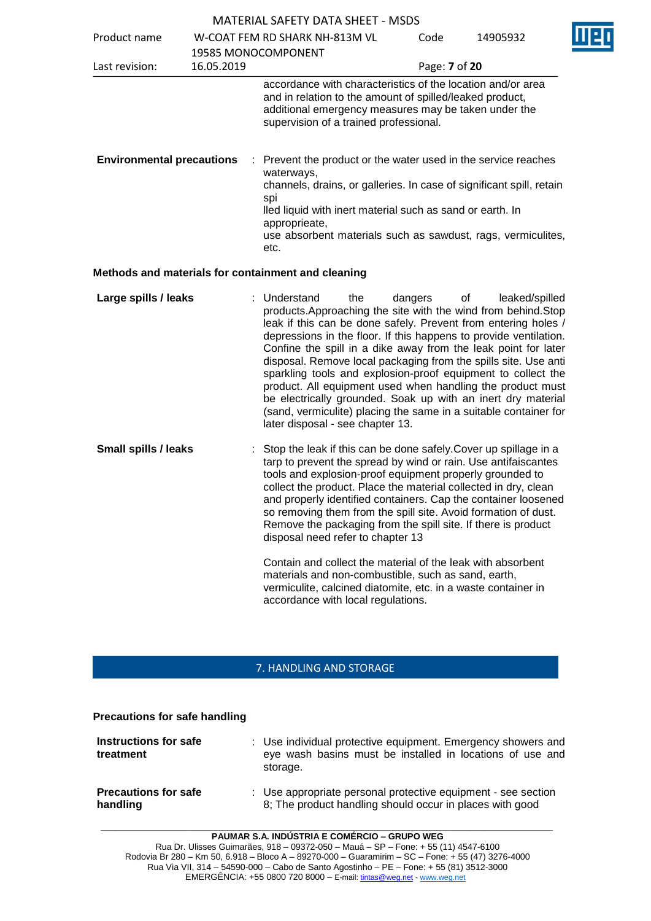|                                  |            | <b>MATLINAL SALLIT DATA SITLET - MSDS</b>                                                                                                                                                                                                                                                                                                                                                                                                                                                                                                                                                                                                                             |               |                      |  |
|----------------------------------|------------|-----------------------------------------------------------------------------------------------------------------------------------------------------------------------------------------------------------------------------------------------------------------------------------------------------------------------------------------------------------------------------------------------------------------------------------------------------------------------------------------------------------------------------------------------------------------------------------------------------------------------------------------------------------------------|---------------|----------------------|--|
| Product name                     |            | W-COAT FEM RD SHARK NH-813M VL<br>19585 MONOCOMPONENT                                                                                                                                                                                                                                                                                                                                                                                                                                                                                                                                                                                                                 | Code          | 14905932             |  |
| Last revision:                   | 16.05.2019 |                                                                                                                                                                                                                                                                                                                                                                                                                                                                                                                                                                                                                                                                       | Page: 7 of 20 |                      |  |
|                                  |            | accordance with characteristics of the location and/or area<br>and in relation to the amount of spilled/leaked product,<br>additional emergency measures may be taken under the<br>supervision of a trained professional.                                                                                                                                                                                                                                                                                                                                                                                                                                             |               |                      |  |
| <b>Environmental precautions</b> |            | : Prevent the product or the water used in the service reaches<br>waterways,<br>channels, drains, or galleries. In case of significant spill, retain<br>spi<br>lled liquid with inert material such as sand or earth. In<br>approprieate,<br>use absorbent materials such as sawdust, rags, vermiculites,<br>etc.                                                                                                                                                                                                                                                                                                                                                     |               |                      |  |
|                                  |            | Methods and materials for containment and cleaning                                                                                                                                                                                                                                                                                                                                                                                                                                                                                                                                                                                                                    |               |                      |  |
| Large spills / leaks             |            | Understand<br>the<br>products. Approaching the site with the wind from behind. Stop<br>leak if this can be done safely. Prevent from entering holes /<br>depressions in the floor. If this happens to provide ventilation.<br>Confine the spill in a dike away from the leak point for later<br>disposal. Remove local packaging from the spills site. Use anti<br>sparkling tools and explosion-proof equipment to collect the<br>product. All equipment used when handling the product must<br>be electrically grounded. Soak up with an inert dry material<br>(sand, vermiculite) placing the same in a suitable container for<br>later disposal - see chapter 13. | dangers       | leaked/spilled<br>οf |  |
| <b>Small spills / leaks</b>      |            | Stop the leak if this can be done safely. Cover up spillage in a<br>tarp to prevent the spread by wind or rain. Use antifaiscantes<br>tools and explosion-proof equipment properly grounded to<br>collect the product. Place the material collected in dry, clean<br>and properly identified containers. Cap the container loosened<br>so removing them from the spill site. Avoid formation of dust.<br>Remove the packaging from the spill site. If there is product<br>disposal need refer to chapter 13                                                                                                                                                           |               |                      |  |
|                                  |            | Contain and collect the material of the leak with absorbent<br>materials and non-combustible, such as sand, earth,<br>vermiculite, calcined diatomite, etc. in a waste container in<br>accordance with local regulations.                                                                                                                                                                                                                                                                                                                                                                                                                                             |               |                      |  |

# 7. HANDLING AND STORAGE

#### **Precautions for safe handling**

| Instructions for safe<br>treatment      | : Use individual protective equipment. Emergency showers and<br>eye wash basins must be installed in locations of use and<br>storage. |
|-----------------------------------------|---------------------------------------------------------------------------------------------------------------------------------------|
| <b>Precautions for safe</b><br>handling | : Use appropriate personal protective equipment - see section<br>8; The product handling should occur in places with good             |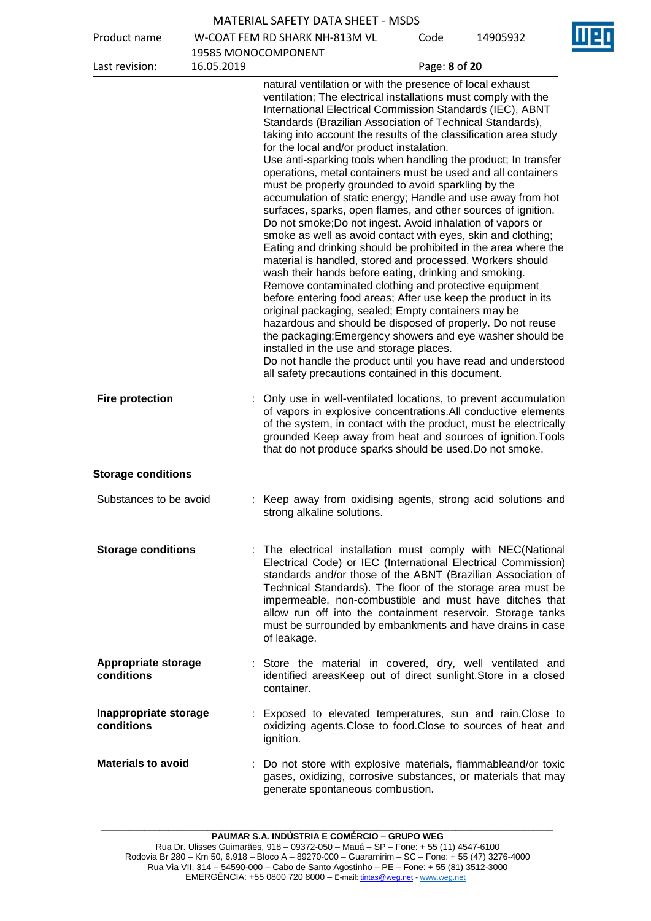Product name W-COAT FEM RD SHARK NH-813M VL

Code 14905932

| Product name                             |            | W-COAT FEM RD SHARK NH-813M VL                                                                                                                                                                                                                                                                                                                                                                                                                                                                                                                                                                                                                                                                                                                                                                                                                                                                                                                                                                                                                                                                                                                                                                                                                                                                                                                                                                                                                                                                      | code          | 14905932 |
|------------------------------------------|------------|-----------------------------------------------------------------------------------------------------------------------------------------------------------------------------------------------------------------------------------------------------------------------------------------------------------------------------------------------------------------------------------------------------------------------------------------------------------------------------------------------------------------------------------------------------------------------------------------------------------------------------------------------------------------------------------------------------------------------------------------------------------------------------------------------------------------------------------------------------------------------------------------------------------------------------------------------------------------------------------------------------------------------------------------------------------------------------------------------------------------------------------------------------------------------------------------------------------------------------------------------------------------------------------------------------------------------------------------------------------------------------------------------------------------------------------------------------------------------------------------------------|---------------|----------|
| Last revision:                           | 16.05.2019 | 19585 MONOCOMPONENT                                                                                                                                                                                                                                                                                                                                                                                                                                                                                                                                                                                                                                                                                                                                                                                                                                                                                                                                                                                                                                                                                                                                                                                                                                                                                                                                                                                                                                                                                 | Page: 8 of 20 |          |
|                                          |            | natural ventilation or with the presence of local exhaust<br>ventilation; The electrical installations must comply with the<br>International Electrical Commission Standards (IEC), ABNT<br>Standards (Brazilian Association of Technical Standards),<br>taking into account the results of the classification area study<br>for the local and/or product instalation.<br>Use anti-sparking tools when handling the product; In transfer<br>operations, metal containers must be used and all containers<br>must be properly grounded to avoid sparkling by the<br>accumulation of static energy; Handle and use away from hot<br>surfaces, sparks, open flames, and other sources of ignition.<br>Do not smoke; Do not ingest. Avoid inhalation of vapors or<br>smoke as well as avoid contact with eyes, skin and clothing;<br>Eating and drinking should be prohibited in the area where the<br>material is handled, stored and processed. Workers should<br>wash their hands before eating, drinking and smoking.<br>Remove contaminated clothing and protective equipment<br>before entering food areas; After use keep the product in its<br>original packaging, sealed; Empty containers may be<br>hazardous and should be disposed of properly. Do not reuse<br>the packaging; Emergency showers and eye washer should be<br>installed in the use and storage places.<br>Do not handle the product until you have read and understood<br>all safety precautions contained in this document. |               |          |
| <b>Fire protection</b>                   |            | Only use in well-ventilated locations, to prevent accumulation<br>of vapors in explosive concentrations. All conductive elements<br>of the system, in contact with the product, must be electrically<br>grounded Keep away from heat and sources of ignition. Tools<br>that do not produce sparks should be used. Do not smoke.                                                                                                                                                                                                                                                                                                                                                                                                                                                                                                                                                                                                                                                                                                                                                                                                                                                                                                                                                                                                                                                                                                                                                                     |               |          |
| <b>Storage conditions</b>                |            |                                                                                                                                                                                                                                                                                                                                                                                                                                                                                                                                                                                                                                                                                                                                                                                                                                                                                                                                                                                                                                                                                                                                                                                                                                                                                                                                                                                                                                                                                                     |               |          |
| Substances to be avoid                   |            | : Keep away from oxidising agents, strong acid solutions and<br>strong alkaline solutions.                                                                                                                                                                                                                                                                                                                                                                                                                                                                                                                                                                                                                                                                                                                                                                                                                                                                                                                                                                                                                                                                                                                                                                                                                                                                                                                                                                                                          |               |          |
| <b>Storage conditions</b>                |            | : The electrical installation must comply with NEC(National<br>Electrical Code) or IEC (International Electrical Commission)<br>standards and/or those of the ABNT (Brazilian Association of<br>Technical Standards). The floor of the storage area must be<br>impermeable, non-combustible and must have ditches that<br>allow run off into the containment reservoir. Storage tanks<br>must be surrounded by embankments and have drains in case<br>of leakage.                                                                                                                                                                                                                                                                                                                                                                                                                                                                                                                                                                                                                                                                                                                                                                                                                                                                                                                                                                                                                                   |               |          |
| <b>Appropriate storage</b><br>conditions |            | : Store the material in covered, dry, well ventilated and<br>identified areasKeep out of direct sunlight. Store in a closed<br>container.                                                                                                                                                                                                                                                                                                                                                                                                                                                                                                                                                                                                                                                                                                                                                                                                                                                                                                                                                                                                                                                                                                                                                                                                                                                                                                                                                           |               |          |
| Inappropriate storage<br>conditions      |            | : Exposed to elevated temperatures, sun and rain. Close to<br>oxidizing agents. Close to food. Close to sources of heat and<br>ignition.                                                                                                                                                                                                                                                                                                                                                                                                                                                                                                                                                                                                                                                                                                                                                                                                                                                                                                                                                                                                                                                                                                                                                                                                                                                                                                                                                            |               |          |
| <b>Materials to avoid</b>                |            | : Do not store with explosive materials, flammableand/or toxic<br>gases, oxidizing, corrosive substances, or materials that may<br>generate spontaneous combustion.                                                                                                                                                                                                                                                                                                                                                                                                                                                                                                                                                                                                                                                                                                                                                                                                                                                                                                                                                                                                                                                                                                                                                                                                                                                                                                                                 |               |          |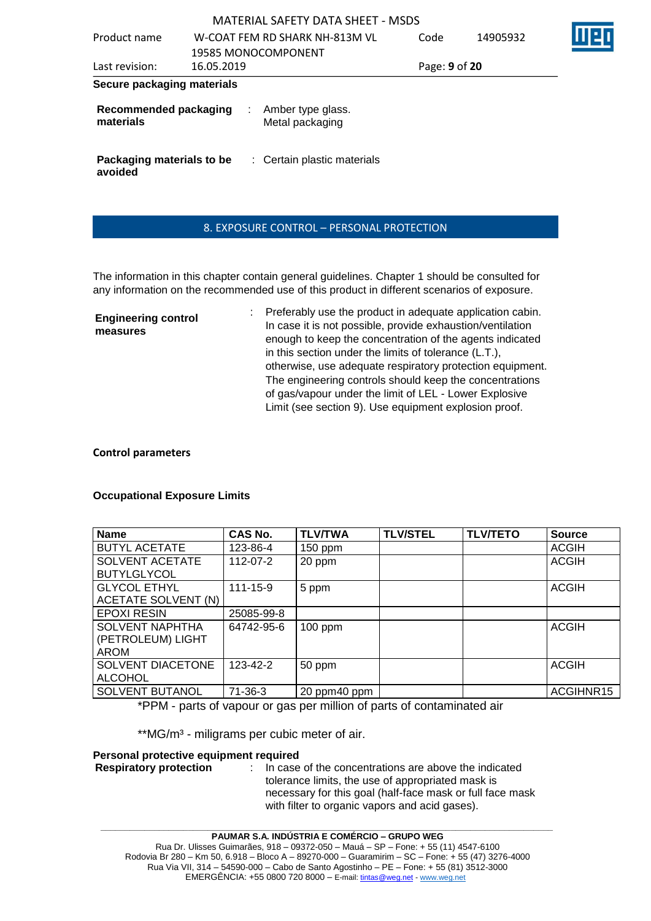| Product name                              |            | W-COAT FEM RD SHARK NH-813M VL       | Code          | 14905932 |  |
|-------------------------------------------|------------|--------------------------------------|---------------|----------|--|
|                                           |            | 19585 MONOCOMPONENT                  |               |          |  |
| Last revision:                            | 16.05.2019 |                                      | Page: 9 of 20 |          |  |
| Secure packaging materials                |            |                                      |               |          |  |
| <b>Recommended packaging</b><br>materials |            | Amber type glass.<br>Metal packaging |               |          |  |
| Packaging materials to be<br>avoided      |            | : Certain plastic materials          |               |          |  |

#### 8. EXPOSURE CONTROL – PERSONAL PROTECTION

The information in this chapter contain general guidelines. Chapter 1 should be consulted for any information on the recommended use of this product in different scenarios of exposure.

**Engineering control measures** : Preferably use the product in adequate application cabin. In case it is not possible, provide exhaustion/ventilation enough to keep the concentration of the agents indicated in this section under the limits of tolerance (L.T.), otherwise, use adequate respiratory protection equipment. The engineering controls should keep the concentrations of gas/vapour under the limit of LEL - Lower Explosive Limit (see section 9). Use equipment explosion proof.

#### **Control parameters**

#### **Occupational Exposure Limits**

| <b>Name</b>                                                | CAS No.        | <b>TLV/TWA</b> | <b>TLV/STEL</b> | <b>TLV/TETO</b> | <b>Source</b> |
|------------------------------------------------------------|----------------|----------------|-----------------|-----------------|---------------|
| <b>BUTYL ACETATE</b>                                       | 123-86-4       | $150$ ppm      |                 |                 | <b>ACGIH</b>  |
| SOLVENT ACETATE<br><b>BUTYLGLYCOL</b>                      | $112 - 07 - 2$ | 20 ppm         |                 |                 | <b>ACGIH</b>  |
| <b>GLYCOL ETHYL</b><br>ACETATE SOLVENT (N)                 | $111 - 15 - 9$ | 5 ppm          |                 |                 | <b>ACGIH</b>  |
| <b>EPOXI RESIN</b>                                         | 25085-99-8     |                |                 |                 |               |
| <b>SOLVENT NAPHTHA</b><br>(PETROLEUM) LIGHT<br><b>AROM</b> | 64742-95-6     | $100$ ppm      |                 |                 | <b>ACGIH</b>  |
| SOLVENT DIACETONE<br><b>ALCOHOL</b>                        | 123-42-2       | 50 ppm         |                 |                 | <b>ACGIH</b>  |
| SOLVENT BUTANOL                                            | 71-36-3        | 20 ppm40 ppm   |                 |                 | ACGIHNR15     |

\*PPM - parts of vapour or gas per million of parts of contaminated air

\*\*MG/m<sup>3</sup> - miligrams per cubic meter of air.

#### **Personal protective equipment required**

**Respiratory protection** : In case of the concentrations are above the indicated tolerance limits, the use of appropriated mask is necessary for this goal (half-face mask or full face mask with filter to organic vapors and acid gases).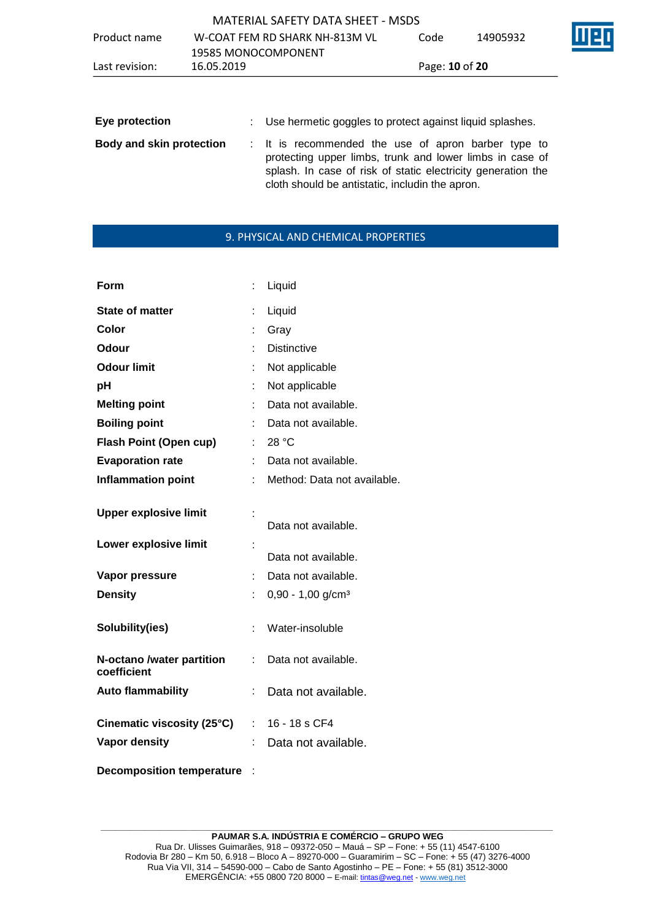| Last revision: | 16.05.2019                        | Page: <b>10 of 20</b> |          |     |
|----------------|-----------------------------------|-----------------------|----------|-----|
|                | 19585 MONOCOMPONENT               |                       |          |     |
| Product name   | W-COAT FEM RD SHARK NH-813M VL    | Code                  | 14905932 | M20 |
|                | MATERIAL SAFETY DATA SHEET - MSDS |                       |          |     |

| Eye protection                  | : Use hermetic goggles to protect against liquid splashes.                                                                                                                                                                         |
|---------------------------------|------------------------------------------------------------------------------------------------------------------------------------------------------------------------------------------------------------------------------------|
| <b>Body and skin protection</b> | : It is recommended the use of apron barber type to<br>protecting upper limbs, trunk and lower limbs in case of<br>splash. In case of risk of static electricity generation the<br>cloth should be antistatic, includin the apron. |

## 9. PHYSICAL AND CHEMICAL PROPERTIES

| Form                                     |    | Liquid                          |
|------------------------------------------|----|---------------------------------|
| <b>State of matter</b>                   | t  | Liquid                          |
| Color                                    |    | Gray                            |
| Odour                                    |    | <b>Distinctive</b>              |
| <b>Odour limit</b>                       |    | Not applicable                  |
| рH                                       |    | Not applicable                  |
| <b>Melting point</b>                     |    | Data not available.             |
| <b>Boiling point</b>                     |    | Data not available.             |
| <b>Flash Point (Open cup)</b>            |    | 28 °C                           |
| <b>Evaporation rate</b>                  |    | Data not available.             |
| <b>Inflammation point</b>                |    | Method: Data not available.     |
| <b>Upper explosive limit</b>             | t  | Data not available.             |
| Lower explosive limit                    |    | Data not available.             |
| Vapor pressure                           |    | Data not available.             |
| <b>Density</b>                           |    | $0,90 - 1,00$ g/cm <sup>3</sup> |
| Solubility(ies)                          | ÷  | Water-insoluble                 |
| N-octano /water partition<br>coefficient | t. | Data not available.             |
| <b>Auto flammability</b>                 |    | Data not available.             |
| Cinematic viscosity (25°C)               | ÷. | 16 - 18 s CF4                   |
| <b>Vapor density</b>                     | t  | Data not available.             |

**Decomposition temperature** :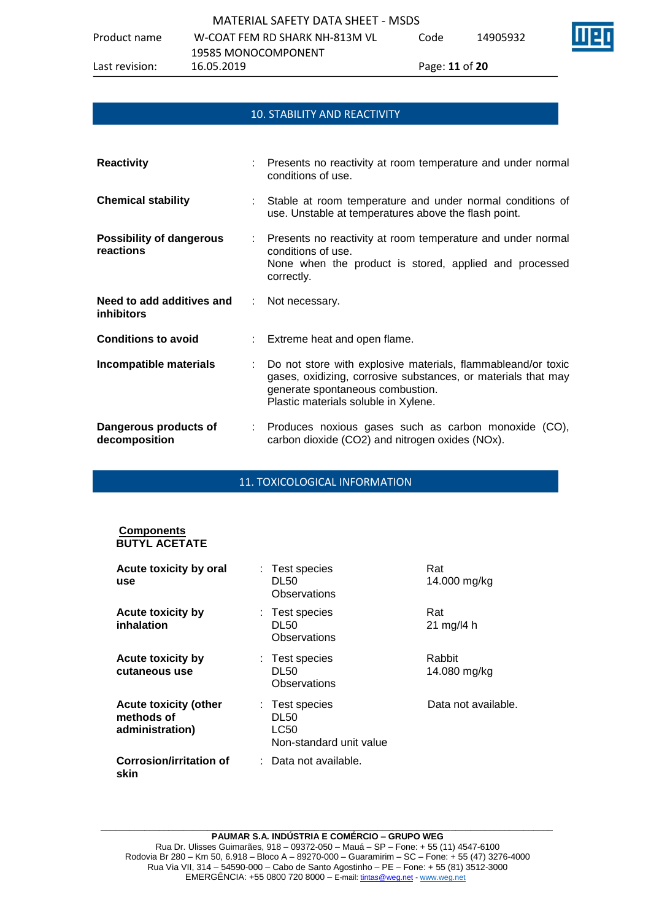Product name W-COAT FEM RD SHARK NH-813M VL Code 14905932

## 10. STABILITY AND REACTIVITY

| <b>Reactivity</b>                              | : Presents no reactivity at room temperature and under normal<br>conditions of use.                                                                                                                         |
|------------------------------------------------|-------------------------------------------------------------------------------------------------------------------------------------------------------------------------------------------------------------|
| <b>Chemical stability</b>                      | : Stable at room temperature and under normal conditions of<br>use. Unstable at temperatures above the flash point.                                                                                         |
| <b>Possibility of dangerous</b><br>reactions   | : Presents no reactivity at room temperature and under normal<br>conditions of use.<br>None when the product is stored, applied and processed<br>correctly.                                                 |
| Need to add additives and<br><i>inhibitors</i> | : Not necessary.                                                                                                                                                                                            |
| <b>Conditions to avoid</b>                     | : Extreme heat and open flame.                                                                                                                                                                              |
| Incompatible materials                         | : Do not store with explosive materials, flammableand/or toxic<br>gases, oxidizing, corrosive substances, or materials that may<br>generate spontaneous combustion.<br>Plastic materials soluble in Xylene. |

| Dangerous products of | : Produces noxious gases such as carbon monoxide (CO), |  |  |  |  |
|-----------------------|--------------------------------------------------------|--|--|--|--|
| decomposition         | carbon dioxide (CO2) and nitrogen oxides (NOx).        |  |  |  |  |

#### 11. TOXICOLOGICAL INFORMATION

#### **Components BUTYL ACETATE**

| Acute toxicity by oral<br>use                                 | : Test species<br>DL50<br>Observations                           | Rat<br>14.000 mg/kg                 |
|---------------------------------------------------------------|------------------------------------------------------------------|-------------------------------------|
| <b>Acute toxicity by</b><br>inhalation                        | : Test species<br>DL50<br>Observations                           | Rat<br>$21 \text{ mg}/14 \text{ h}$ |
| <b>Acute toxicity by</b><br>cutaneous use                     | : Test species<br>DL50<br>Observations                           | Rabbit<br>14.080 mg/kg              |
| <b>Acute toxicity (other</b><br>methods of<br>administration) | : Test species<br><b>DL50</b><br>LC50<br>Non-standard unit value | Data not available.                 |
| <b>Corrosion/irritation of</b><br>skin                        | ∶ Data not available.                                            |                                     |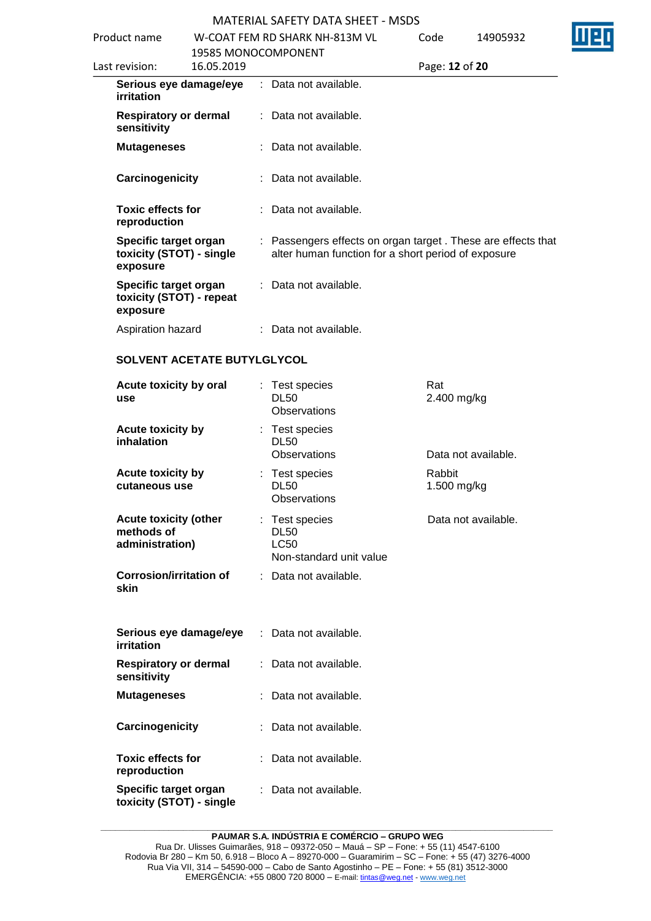| Product name                                                  |                                   | W-COAT FFM RD SHARK NH-813M VL                      | Code           | 14905932                                                     |  |
|---------------------------------------------------------------|-----------------------------------|-----------------------------------------------------|----------------|--------------------------------------------------------------|--|
| Last revision:                                                | 19585 MONOCOMPONENT<br>16.05.2019 |                                                     | Page: 12 of 20 |                                                              |  |
| Serious eye damage/eye<br>irritation                          |                                   | : Data not available.                               |                |                                                              |  |
| <b>Respiratory or dermal</b><br>sensitivity                   |                                   | : Data not available.                               |                |                                                              |  |
| <b>Mutageneses</b>                                            |                                   | : Data not available.                               |                |                                                              |  |
| Carcinogenicity                                               |                                   | : Data not available.                               |                |                                                              |  |
| <b>Toxic effects for</b><br>reproduction                      |                                   | $\therefore$ Data not available.                    |                |                                                              |  |
| Specific target organ<br>toxicity (STOT) - single<br>exposure |                                   | alter human function for a short period of exposure |                | : Passengers effects on organ target. These are effects that |  |
| Specific target organ<br>toxicity (STOT) - repeat<br>exposure |                                   | : Data not available.                               |                |                                                              |  |
| Aspiration hazard                                             |                                   | : Data not available.                               |                |                                                              |  |

| Acute toxicity by oral<br>use                                 |    | Test species<br><b>DL50</b><br><b>Observations</b>                      | Rat<br>2.400 mg/kg    |
|---------------------------------------------------------------|----|-------------------------------------------------------------------------|-----------------------|
| <b>Acute toxicity by</b><br>inhalation                        |    | : Test species<br><b>DL50</b><br>Observations                           | Data not available.   |
| Acute toxicity by<br>cutaneous use                            |    | : Test species<br><b>DL50</b><br><b>Observations</b>                    | Rabbit<br>1.500 mg/kg |
| <b>Acute toxicity (other</b><br>methods of<br>administration) |    | : Test species<br><b>DL50</b><br><b>LC50</b><br>Non-standard unit value | Data not available.   |
| <b>Corrosion/irritation of</b><br>skin                        |    | : Data not available.                                                   |                       |
| Serious eye damage/eye<br>irritation                          |    | : Data not available.                                                   |                       |
| <b>Respiratory or dermal</b><br>sensitivity                   | t. | Data not available.                                                     |                       |
| <b>Mutageneses</b>                                            |    | Data not available.                                                     |                       |
| Carcinogenicity                                               |    | Data not available.                                                     |                       |
| <b>Toxic effects for</b><br>reproduction                      |    | Data not available.                                                     |                       |
| Specific target organ<br>toxicity (STOT) - single             |    | Data not available.                                                     |                       |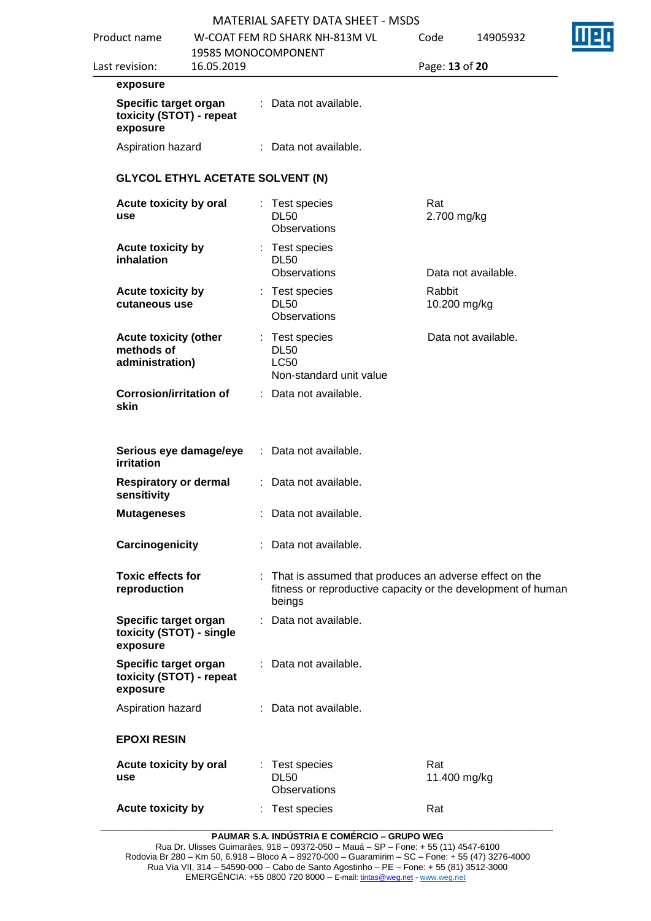| <b>MATERIAL SAFETY DATA SHEET - MSDS</b> |  |
|------------------------------------------|--|
|------------------------------------------|--|

| Product name                                                  |            |   | MATERIAL SAFETY DATA SHEET - MSDS<br>W-COAT FEM RD SHARK NH-813M VL                                                                | Code                   | 14905932            |
|---------------------------------------------------------------|------------|---|------------------------------------------------------------------------------------------------------------------------------------|------------------------|---------------------|
|                                                               |            |   | 19585 MONOCOMPONENT                                                                                                                |                        |                     |
| Last revision:                                                | 16.05.2019 |   |                                                                                                                                    | Page: 13 of 20         |                     |
| exposure                                                      |            |   |                                                                                                                                    |                        |                     |
| Specific target organ<br>toxicity (STOT) - repeat<br>exposure |            |   | : Data not available.                                                                                                              |                        |                     |
| Aspiration hazard                                             |            |   | : Data not available.                                                                                                              |                        |                     |
| <b>GLYCOL ETHYL ACETATE SOLVENT (N)</b>                       |            |   |                                                                                                                                    |                        |                     |
| Acute toxicity by oral<br>use                                 |            |   | Test species<br><b>DL50</b><br>Observations                                                                                        | Rat<br>2.700 mg/kg     |                     |
| Acute toxicity by<br>inhalation                               |            |   | Test species<br><b>DL50</b><br><b>Observations</b>                                                                                 |                        | Data not available. |
| <b>Acute toxicity by</b><br>cutaneous use                     |            |   | Test species<br><b>DL50</b><br>Observations                                                                                        | Rabbit<br>10.200 mg/kg |                     |
| <b>Acute toxicity (other</b><br>methods of<br>administration) |            | t | Test species<br><b>DL50</b><br><b>LC50</b><br>Non-standard unit value                                                              |                        | Data not available. |
| <b>Corrosion/irritation of</b><br>skin                        |            |   | : Data not available.                                                                                                              |                        |                     |
| Serious eye damage/eye<br>irritation                          |            |   | : Data not available.                                                                                                              |                        |                     |
| <b>Respiratory or dermal</b><br>sensitivity                   |            |   | : Data not available.                                                                                                              |                        |                     |
| <b>Mutageneses</b>                                            |            |   | : Data not available.                                                                                                              |                        |                     |
| Carcinogenicity                                               |            |   | : Data not available.                                                                                                              |                        |                     |
| <b>Toxic effects for</b><br>reproduction                      |            |   | : That is assumed that produces an adverse effect on the<br>fitness or reproductive capacity or the development of human<br>beings |                        |                     |
| Specific target organ<br>toxicity (STOT) - single<br>exposure |            |   | : Data not available.                                                                                                              |                        |                     |
| Specific target organ<br>toxicity (STOT) - repeat<br>exposure |            |   | : Data not available.                                                                                                              |                        |                     |
| Aspiration hazard                                             |            |   | : Data not available.                                                                                                              |                        |                     |
| <b>EPOXI RESIN</b>                                            |            |   |                                                                                                                                    |                        |                     |
| Acute toxicity by oral<br>use                                 |            | ÷ | Test species<br><b>DL50</b><br>Observations                                                                                        | Rat<br>11.400 mg/kg    |                     |
| Acute toxicity by                                             |            |   | : Test species                                                                                                                     | Rat                    |                     |

**PAUMAR S.A. INDÚSTRIA E COMÉRCIO – GRUPO WEG**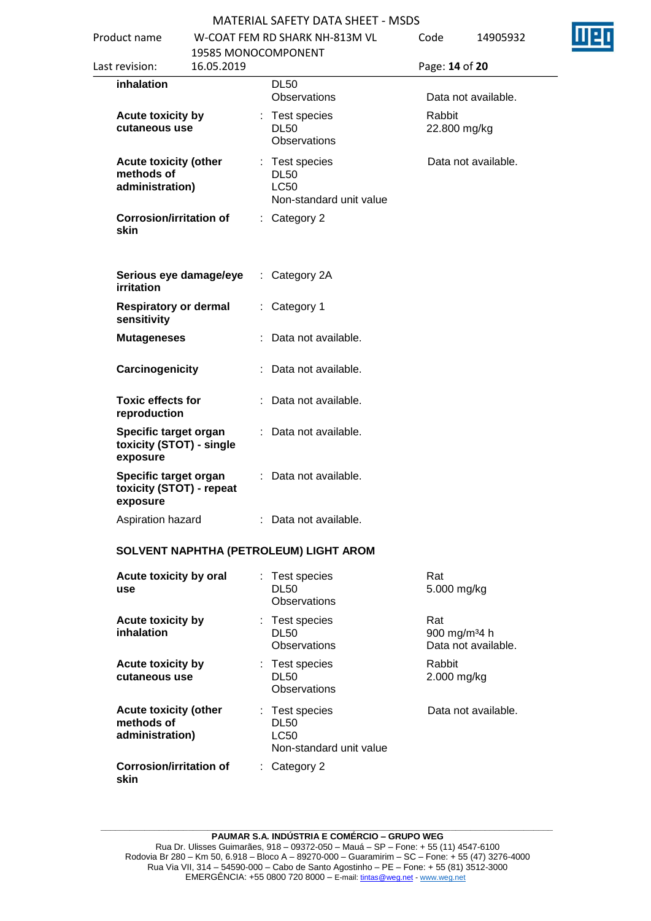Ī

| Product name                 |                                                               |                        |   | W-COAT FEM RD SHARK NH-813M VL<br>19585 MONOCOMPONENT                 | Code                             | 14905932            |  |
|------------------------------|---------------------------------------------------------------|------------------------|---|-----------------------------------------------------------------------|----------------------------------|---------------------|--|
| Last revision:<br>16.05.2019 |                                                               |                        |   | Page: 14 of 20                                                        |                                  |                     |  |
|                              | inhalation                                                    |                        |   | <b>DL50</b><br><b>Observations</b>                                    |                                  | Data not available. |  |
|                              | <b>Acute toxicity by</b><br>cutaneous use                     |                        | ÷ | Test species<br><b>DL50</b><br>Observations                           | Rabbit<br>22.800 mg/kg           |                     |  |
|                              | <b>Acute toxicity (other</b><br>methods of<br>administration) |                        | ÷ | Test species<br><b>DL50</b><br><b>LC50</b><br>Non-standard unit value |                                  | Data not available. |  |
|                              | <b>Corrosion/irritation of</b><br>skin                        |                        |   | : Category 2                                                          |                                  |                     |  |
|                              | irritation                                                    | Serious eye damage/eye |   | : Category 2A                                                         |                                  |                     |  |
|                              | <b>Respiratory or dermal</b><br>sensitivity                   |                        |   | : Category 1                                                          |                                  |                     |  |
|                              | <b>Mutageneses</b>                                            |                        |   | Data not available.                                                   |                                  |                     |  |
|                              | Carcinogenicity                                               |                        |   | Data not available.                                                   |                                  |                     |  |
|                              | <b>Toxic effects for</b><br>reproduction                      |                        |   | : Data not available.                                                 |                                  |                     |  |
|                              | Specific target organ<br>toxicity (STOT) - single<br>exposure |                        |   | : Data not available.                                                 |                                  |                     |  |
|                              | Specific target organ<br>toxicity (STOT) - repeat<br>exposure |                        |   | : Data not available.                                                 |                                  |                     |  |
|                              | Aspiration hazard                                             |                        |   | : Data not available.                                                 |                                  |                     |  |
|                              |                                                               |                        |   | SOLVENT NAPHTHA (PETROLEUM) LIGHT AROM                                |                                  |                     |  |
|                              | Acute toxicity by oral<br>use                                 |                        |   | : Test species<br><b>DL50</b><br><b>Observations</b>                  | Rat<br>5.000 mg/kg               |                     |  |
|                              | <b>Acute toxicity by</b><br>inhalation                        |                        |   | : Test species<br><b>DL50</b><br><b>Observations</b>                  | Rat<br>900 mg/m <sup>3</sup> 4 h | Data not available. |  |
|                              | <b>Acute toxicity by</b><br>cutaneous use                     |                        | ÷ | Test species<br><b>DL50</b><br>Observations                           | Rabbit<br>2.000 mg/kg            |                     |  |
|                              | <b>Acute toxicity (other</b><br>methods of<br>administration) |                        | ÷ | Test species<br><b>DL50</b><br><b>LC50</b>                            |                                  | Data not available. |  |

**\_\_\_\_\_\_\_\_\_\_\_\_\_\_\_\_\_\_\_\_\_\_\_\_\_\_\_\_\_\_\_\_\_\_\_\_\_\_\_\_\_\_\_\_\_\_\_\_\_\_\_\_\_\_\_\_\_\_\_\_\_\_\_\_\_\_\_\_\_\_\_\_\_\_\_\_\_\_\_\_\_\_\_\_\_\_\_\_\_\_\_\_\_ PAUMAR S.A. INDÚSTRIA E COMÉRCIO – GRUPO WEG** Rua Dr. Ulisses Guimarães, 918 – 09372-050 – Mauá – SP – Fone: + 55 (11) 4547-6100 Rodovia Br 280 – Km 50, 6.918 – Bloco A – 89270-000 – Guaramirim – SC – Fone: + 55 (47) 3276-4000 Rua Via VII, 314 – 54590-000 – Cabo de Santo Agostinho – PE – Fone: + 55 (81) 3512-3000 EMERGËNCIA: +55 0800 720 8000 – E-mail[: tintas@weg.net](mailto:tintas@weg.net) - [www.weg.net](http://www.weg.net/)

Non-standard unit value

: Category 2

**Corrosion/irritation of** 

**skin**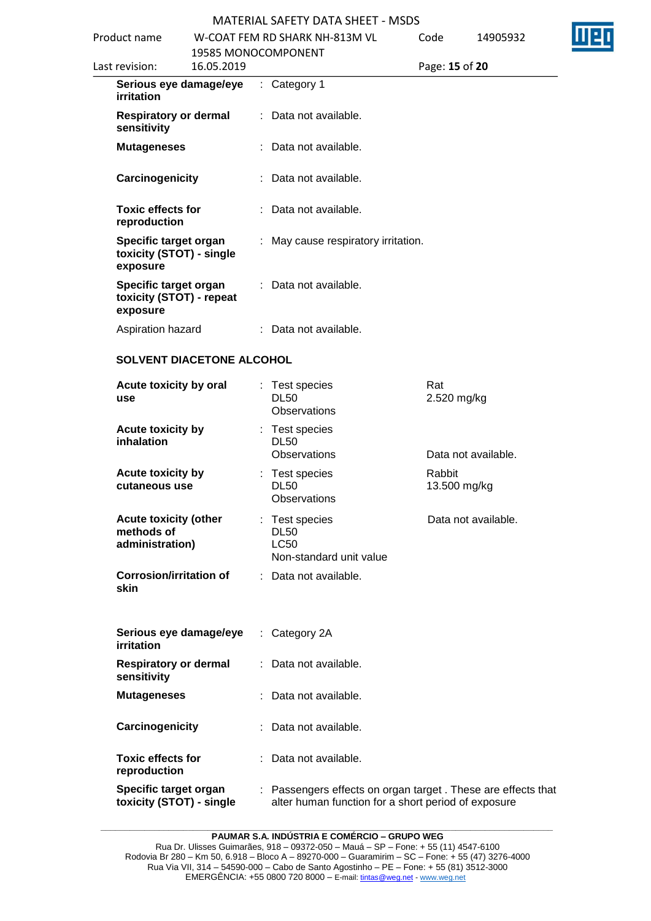| Product name                             |                                                   | W-COAT FEM RD SHARK NH-813M VL                                                                                      | Code                   | 14905932            |  |
|------------------------------------------|---------------------------------------------------|---------------------------------------------------------------------------------------------------------------------|------------------------|---------------------|--|
| Last revision:                           | 19585 MONOCOMPONENT<br>16.05.2019                 |                                                                                                                     | Page: 15 of 20         |                     |  |
| irritation                               | Serious eye damage/eye                            | $:$ Category 1                                                                                                      |                        |                     |  |
| sensitivity                              | <b>Respiratory or dermal</b>                      | : Data not available.                                                                                               |                        |                     |  |
| <b>Mutageneses</b>                       |                                                   | : Data not available.                                                                                               |                        |                     |  |
| Carcinogenicity                          |                                                   | : Data not available.                                                                                               |                        |                     |  |
| <b>Toxic effects for</b><br>reproduction |                                                   | : Data not available.                                                                                               |                        |                     |  |
| exposure                                 | Specific target organ<br>toxicity (STOT) - single | : May cause respiratory irritation.                                                                                 |                        |                     |  |
| exposure                                 | Specific target organ<br>toxicity (STOT) - repeat | : Data not available.                                                                                               |                        |                     |  |
| Aspiration hazard                        |                                                   | : Data not available.                                                                                               |                        |                     |  |
|                                          | SOLVENT DIACETONE ALCOHOL                         |                                                                                                                     |                        |                     |  |
| use                                      | Acute toxicity by oral                            | : Test species<br><b>DL50</b><br>Observations                                                                       | Rat<br>2.520 mg/kg     |                     |  |
| <b>Acute toxicity by</b><br>inhalation   |                                                   | : Test species<br><b>DL50</b><br>Observations                                                                       |                        | Data not available. |  |
| Acute toxicity by<br>cutaneous use       |                                                   | Test species<br><b>DL50</b><br><b>Observations</b>                                                                  | Rabbit<br>13.500 mg/kg |                     |  |
| methods of<br>administration)            | <b>Acute toxicity (other</b>                      | : Test species<br><b>DL50</b><br><b>LC50</b><br>Non-standard unit value                                             |                        | Data not available. |  |
| skin                                     | <b>Corrosion/irritation of</b>                    | : Data not available.                                                                                               |                        |                     |  |
| irritation                               | Serious eye damage/eye                            | : Category 2A                                                                                                       |                        |                     |  |
| sensitivity                              | <b>Respiratory or dermal</b>                      | : Data not available.                                                                                               |                        |                     |  |
| <b>Mutageneses</b>                       |                                                   | : Data not available.                                                                                               |                        |                     |  |
| Carcinogenicity                          |                                                   | Data not available.                                                                                                 |                        |                     |  |
| <b>Toxic effects for</b><br>reproduction |                                                   | : Data not available.                                                                                               |                        |                     |  |
|                                          | Specific target organ<br>toxicity (STOT) - single | : Passengers effects on organ target. These are effects that<br>alter human function for a short period of exposure |                        |                     |  |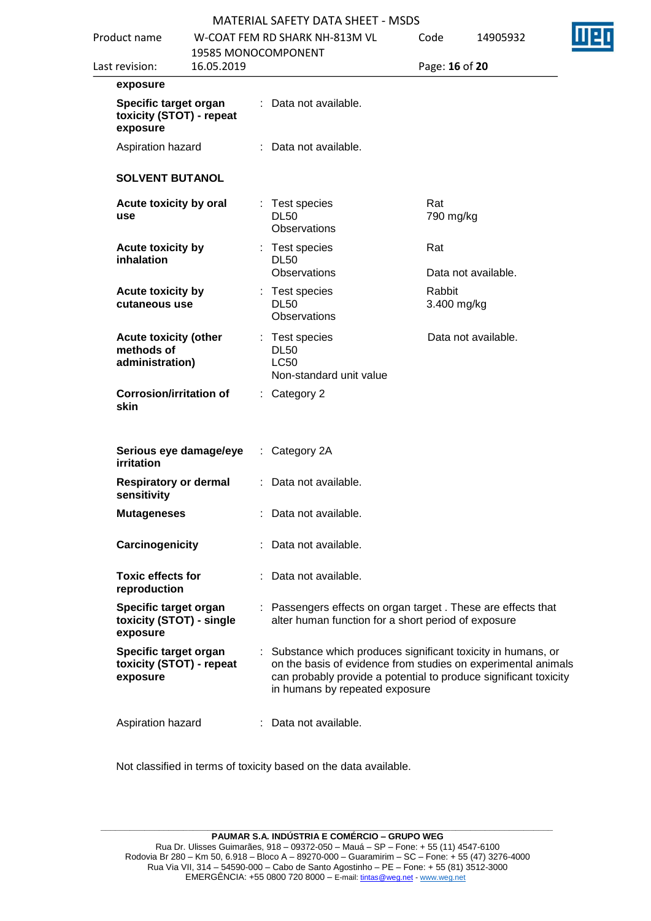| Product name                                                  |                     |   | <u> IVIA I ERIAL SAFETT DATA SHEET - IVISDS</u><br>W-COAT FEM RD SHARK NH-813M VL                                                                                                                                                  | Code                  | 14905932            |
|---------------------------------------------------------------|---------------------|---|------------------------------------------------------------------------------------------------------------------------------------------------------------------------------------------------------------------------------------|-----------------------|---------------------|
|                                                               | 19585 MONOCOMPONENT |   |                                                                                                                                                                                                                                    |                       |                     |
| Last revision:                                                | 16.05.2019          |   |                                                                                                                                                                                                                                    | Page: 16 of 20        |                     |
| exposure                                                      |                     |   |                                                                                                                                                                                                                                    |                       |                     |
| Specific target organ<br>toxicity (STOT) - repeat<br>exposure |                     |   | : Data not available.                                                                                                                                                                                                              |                       |                     |
| Aspiration hazard                                             |                     |   | : Data not available.                                                                                                                                                                                                              |                       |                     |
| <b>SOLVENT BUTANOL</b>                                        |                     |   |                                                                                                                                                                                                                                    |                       |                     |
| Acute toxicity by oral<br>use                                 |                     |   | : Test species<br><b>DL50</b><br>Observations                                                                                                                                                                                      | Rat<br>790 mg/kg      |                     |
| <b>Acute toxicity by</b><br>inhalation                        |                     |   | : Test species<br><b>DL50</b><br>Observations                                                                                                                                                                                      | Rat                   | Data not available. |
| <b>Acute toxicity by</b><br>cutaneous use                     |                     | ÷ | Test species<br><b>DL50</b><br>Observations                                                                                                                                                                                        | Rabbit<br>3.400 mg/kg |                     |
| <b>Acute toxicity (other</b><br>methods of<br>administration) |                     |   | : Test species<br><b>DL50</b><br><b>LC50</b><br>Non-standard unit value                                                                                                                                                            |                       | Data not available. |
| <b>Corrosion/irritation of</b><br>skin                        |                     |   | $:$ Category 2                                                                                                                                                                                                                     |                       |                     |
| Serious eye damage/eye<br><b>irritation</b>                   |                     |   | : Category 2A                                                                                                                                                                                                                      |                       |                     |
| <b>Respiratory or dermal</b><br>sensitivity                   |                     |   | : Data not available.                                                                                                                                                                                                              |                       |                     |
| <b>Mutageneses</b>                                            |                     |   | Data not available.                                                                                                                                                                                                                |                       |                     |
| Carcinogenicity                                               |                     |   | Data not available.                                                                                                                                                                                                                |                       |                     |
| <b>Toxic effects for</b><br>reproduction                      |                     |   | Data not available.                                                                                                                                                                                                                |                       |                     |
| Specific target organ<br>toxicity (STOT) - single<br>exposure |                     |   | : Passengers effects on organ target. These are effects that<br>alter human function for a short period of exposure                                                                                                                |                       |                     |
| Specific target organ<br>toxicity (STOT) - repeat<br>exposure |                     |   | Substance which produces significant toxicity in humans, or<br>on the basis of evidence from studies on experimental animals<br>can probably provide a potential to produce significant toxicity<br>in humans by repeated exposure |                       |                     |
| Aspiration hazard                                             |                     |   | Data not available.                                                                                                                                                                                                                |                       |                     |

Not classified in terms of toxicity based on the data available.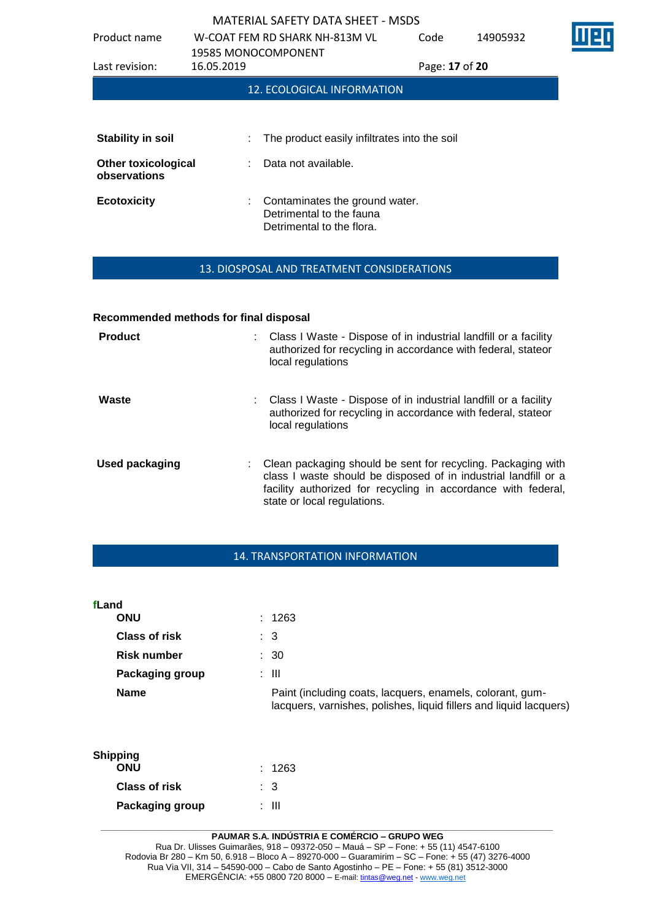| Product name                               | <b>19585 MONOCOMPONENT</b> | W-COAT FEM RD SHARK NH-813M VL                                                          | Code           | 14905932 |  |
|--------------------------------------------|----------------------------|-----------------------------------------------------------------------------------------|----------------|----------|--|
| Last revision:                             | 16.05.2019                 |                                                                                         | Page: 17 of 20 |          |  |
|                                            |                            | <b>12. ECOLOGICAL INFORMATION</b>                                                       |                |          |  |
|                                            |                            |                                                                                         |                |          |  |
| <b>Stability in soil</b>                   |                            | The product easily infiltrates into the soil                                            |                |          |  |
| <b>Other toxicological</b><br>observations |                            | Data not available.                                                                     |                |          |  |
| <b>Ecotoxicity</b>                         |                            | Contaminates the ground water.<br>Detrimental to the fauna<br>Detrimental to the flora. |                |          |  |

## 13. DIOSPOSAL AND TREATMENT CONSIDERATIONS

#### **Recommended methods for final disposal**

| <b>Product</b>        | Class I Waste - Dispose of in industrial landfill or a facility<br>authorized for recycling in accordance with federal, stateor<br>local regulations                                                                            |
|-----------------------|---------------------------------------------------------------------------------------------------------------------------------------------------------------------------------------------------------------------------------|
| Waste                 | : Class I Waste - Dispose of in industrial landfill or a facility<br>authorized for recycling in accordance with federal, stateor<br>local regulations                                                                          |
| <b>Used packaging</b> | Clean packaging should be sent for recycling. Packaging with<br>class I waste should be disposed of in industrial landfill or a<br>facility authorized for recycling in accordance with federal,<br>state or local regulations. |

## 14. TRANSPORTATION INFORMATION

| fLand                  |                                                                                                                                 |
|------------------------|---------------------------------------------------------------------------------------------------------------------------------|
| <b>ONU</b>             | : 1263                                                                                                                          |
| <b>Class of risk</b>   | : 3                                                                                                                             |
| <b>Risk number</b>     | $\therefore$ 30                                                                                                                 |
| <b>Packaging group</b> | : III                                                                                                                           |
| <b>Name</b>            | Paint (including coats, lacquers, enamels, colorant, gum-<br>lacquers, varnishes, polishes, liquid fillers and liquid lacquers) |

| Shipping<br><b>ONU</b> | : 1263 |
|------------------------|--------|
|                        |        |
| <b>Class of risk</b>   | : 3    |
| Packaging group        | ∙ III  |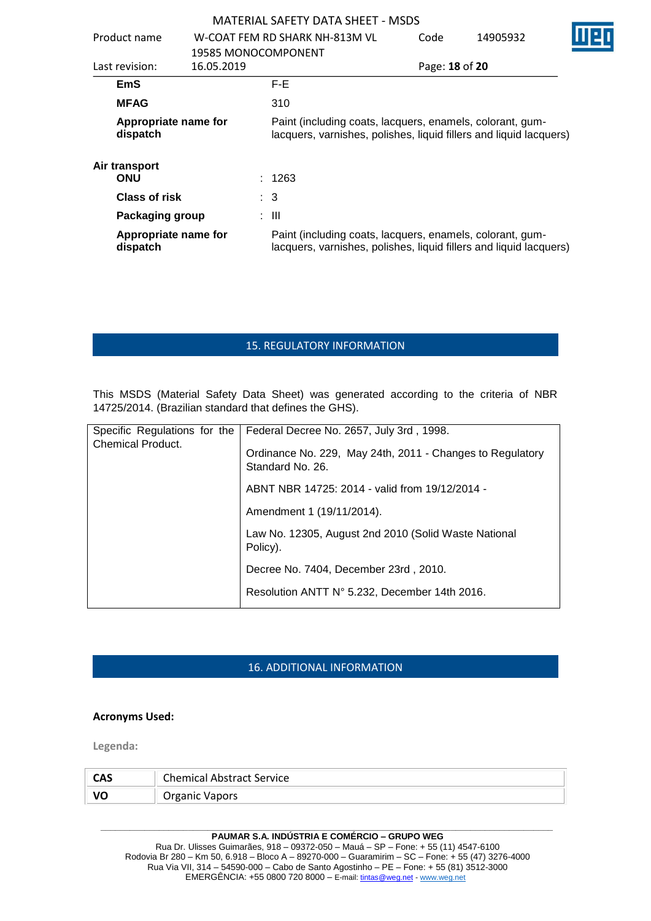|                                  |                     | <b>MATERIAL SAFETY DATA SHEET - MSDS</b>                                                                                        |                |          |  |
|----------------------------------|---------------------|---------------------------------------------------------------------------------------------------------------------------------|----------------|----------|--|
| Product name                     |                     | W-COAT FEM RD SHARK NH-813M VL                                                                                                  | Code           | 14905932 |  |
|                                  | 19585 MONOCOMPONENT |                                                                                                                                 |                |          |  |
| Last revision:                   | 16.05.2019          |                                                                                                                                 | Page: 18 of 20 |          |  |
| <b>EmS</b>                       |                     | F-E.                                                                                                                            |                |          |  |
| <b>MFAG</b>                      |                     | 310                                                                                                                             |                |          |  |
| Appropriate name for<br>dispatch |                     | Paint (including coats, lacquers, enamels, colorant, gum-<br>lacquers, varnishes, polishes, liquid fillers and liquid lacquers) |                |          |  |
| Air transport<br><b>ONU</b>      |                     | : 1263                                                                                                                          |                |          |  |
| <b>Class of risk</b>             |                     | $\therefore$ 3                                                                                                                  |                |          |  |
| <b>Packaging group</b>           |                     | : III                                                                                                                           |                |          |  |
| Appropriate name for<br>dispatch |                     | Paint (including coats, lacquers, enamels, colorant, gum-<br>lacquers, varnishes, polishes, liquid fillers and liquid lacquers) |                |          |  |

# 15. REGULATORY INFORMATION

This MSDS (Material Safety Data Sheet) was generated according to the criteria of NBR 14725/2014. (Brazilian standard that defines the GHS).

| Specific Regulations for the<br><b>Chemical Product.</b> | Federal Decree No. 2657, July 3rd, 1998.<br>Ordinance No. 229, May 24th, 2011 - Changes to Regulatory<br>Standard No. 26. |
|----------------------------------------------------------|---------------------------------------------------------------------------------------------------------------------------|
|                                                          | ABNT NBR 14725: 2014 - valid from 19/12/2014 -                                                                            |
|                                                          | Amendment 1 (19/11/2014).                                                                                                 |
|                                                          | Law No. 12305, August 2nd 2010 (Solid Waste National<br>Policy).                                                          |
|                                                          | Decree No. 7404, December 23rd, 2010.                                                                                     |
|                                                          | Resolution ANTT N° 5.232, December 14th 2016.                                                                             |

# 16. ADDITIONAL INFORMATION

#### **Acronyms Used:**

**Legenda:**

| CAS | <b>Chemical Abstract Service</b> |
|-----|----------------------------------|
|     | Organic Vapors                   |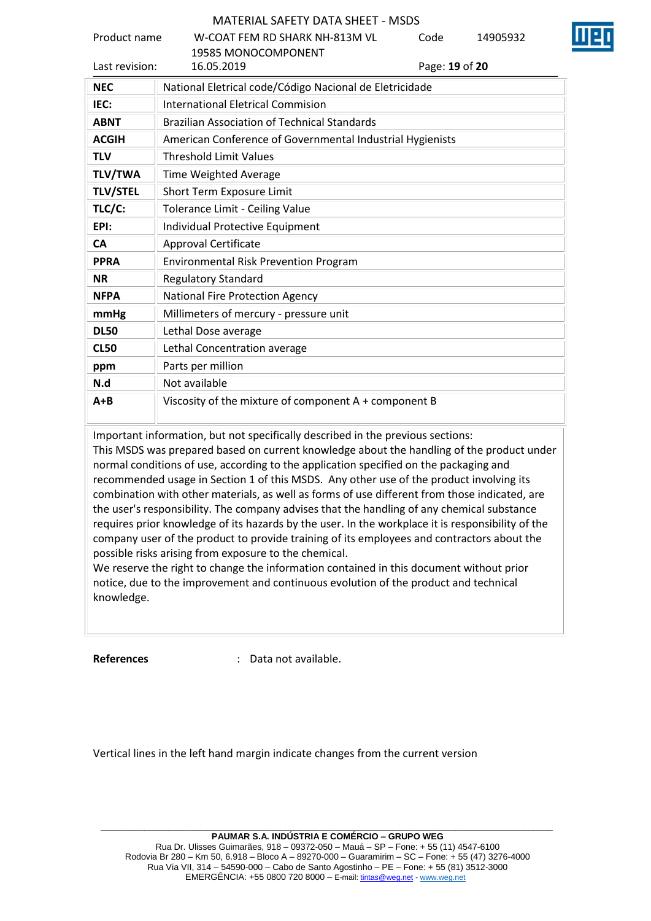| Product name    | W-COAT FFM RD SHARK NH-813M VL<br>Code<br>14905932<br><b>19585 MONOCOMPONENT</b> |  |  |  |  |
|-----------------|----------------------------------------------------------------------------------|--|--|--|--|
| Last revision:  | 16.05.2019<br>Page: 19 of 20                                                     |  |  |  |  |
| <b>NEC</b>      | National Eletrical code/Código Nacional de Eletricidade                          |  |  |  |  |
| IEC:            | <b>International Eletrical Commision</b>                                         |  |  |  |  |
| <b>ABNT</b>     | <b>Brazilian Association of Technical Standards</b>                              |  |  |  |  |
| <b>ACGIH</b>    | American Conference of Governmental Industrial Hygienists                        |  |  |  |  |
| <b>TLV</b>      | <b>Threshold Limit Values</b>                                                    |  |  |  |  |
| <b>TLV/TWA</b>  | Time Weighted Average                                                            |  |  |  |  |
| <b>TLV/STEL</b> | Short Term Exposure Limit                                                        |  |  |  |  |
| TLC/C:          | Tolerance Limit - Ceiling Value                                                  |  |  |  |  |
| EPI:            | Individual Protective Equipment                                                  |  |  |  |  |
| <b>CA</b>       | Approval Certificate                                                             |  |  |  |  |
| <b>PPRA</b>     | <b>Environmental Risk Prevention Program</b>                                     |  |  |  |  |
| <b>NR</b>       | <b>Regulatory Standard</b>                                                       |  |  |  |  |
| <b>NFPA</b>     | <b>National Fire Protection Agency</b>                                           |  |  |  |  |
| mmHg            | Millimeters of mercury - pressure unit                                           |  |  |  |  |
| <b>DL50</b>     | Lethal Dose average                                                              |  |  |  |  |
| <b>CL50</b>     | Lethal Concentration average                                                     |  |  |  |  |
| ppm             | Parts per million                                                                |  |  |  |  |
| N.d             | Not available                                                                    |  |  |  |  |
| $A + B$         | Viscosity of the mixture of component A + component B                            |  |  |  |  |

Important information, but not specifically described in the previous sections:

This MSDS was prepared based on current knowledge about the handling of the product under normal conditions of use, according to the application specified on the packaging and recommended usage in Section 1 of this MSDS. Any other use of the product involving its combination with other materials, as well as forms of use different from those indicated, are the user's responsibility. The company advises that the handling of any chemical substance requires prior knowledge of its hazards by the user. In the workplace it is responsibility of the company user of the product to provide training of its employees and contractors about the possible risks arising from exposure to the chemical.

We reserve the right to change the information contained in this document without prior notice, due to the improvement and continuous evolution of the product and technical knowledge.

**References** : Data not available.

Vertical lines in the left hand margin indicate changes from the current version